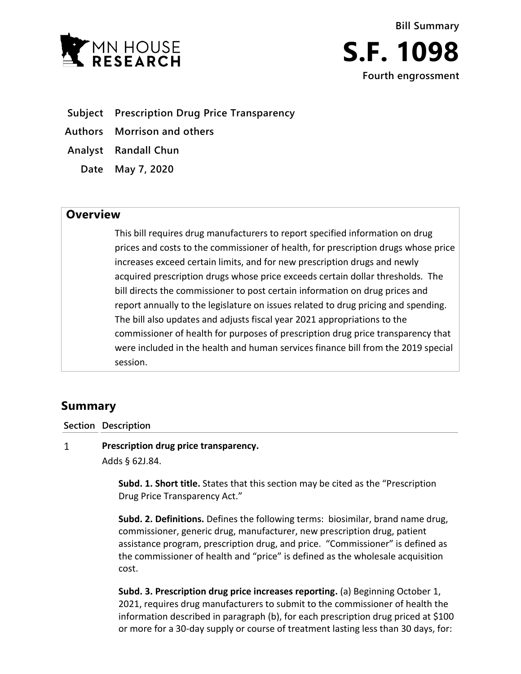



**Subject Prescription Drug Price Transparency**

**Authors Morrison and others**

**Analyst Randall Chun**

**Date May 7, 2020**

## **Overview**

This bill requires drug manufacturers to report specified information on drug prices and costs to the commissioner of health, for prescription drugs whose price increases exceed certain limits, and for new prescription drugs and newly acquired prescription drugs whose price exceeds certain dollar thresholds. The bill directs the commissioner to post certain information on drug prices and report annually to the legislature on issues related to drug pricing and spending. The bill also updates and adjusts fiscal year 2021 appropriations to the commissioner of health for purposes of prescription drug price transparency that were included in the health and human services finance bill from the 2019 special session.

# **Summary**

**Section Description**

#### $\mathbf{1}$ **Prescription drug price transparency.** Adds § 62J.84.

**Subd. 1. Short title.** States that this section may be cited as the "Prescription Drug Price Transparency Act."

**Subd. 2. Definitions.** Defines the following terms: biosimilar, brand name drug, commissioner, generic drug, manufacturer, new prescription drug, patient assistance program, prescription drug, and price. "Commissioner" is defined as the commissioner of health and "price" is defined as the wholesale acquisition cost.

**Subd. 3. Prescription drug price increases reporting.** (a) Beginning October 1, 2021, requires drug manufacturers to submit to the commissioner of health the information described in paragraph (b), for each prescription drug priced at \$100 or more for a 30-day supply or course of treatment lasting less than 30 days, for: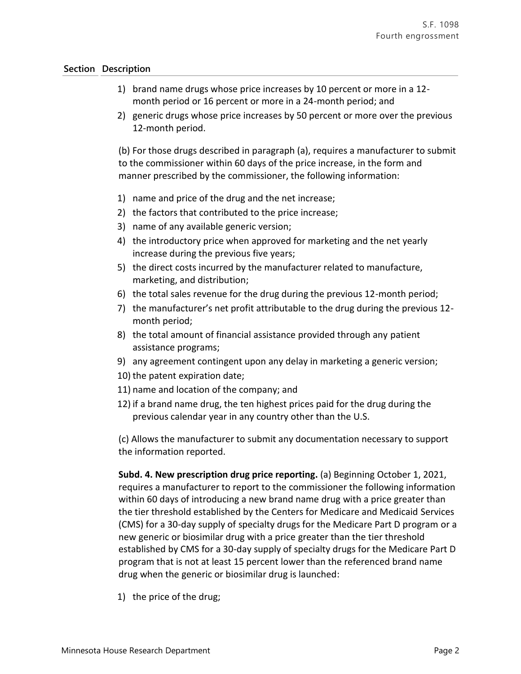- 1) brand name drugs whose price increases by 10 percent or more in a 12 month period or 16 percent or more in a 24-month period; and
- 2) generic drugs whose price increases by 50 percent or more over the previous 12-month period.

(b) For those drugs described in paragraph (a), requires a manufacturer to submit to the commissioner within 60 days of the price increase, in the form and manner prescribed by the commissioner, the following information:

- 1) name and price of the drug and the net increase;
- 2) the factors that contributed to the price increase;
- 3) name of any available generic version;
- 4) the introductory price when approved for marketing and the net yearly increase during the previous five years;
- 5) the direct costs incurred by the manufacturer related to manufacture, marketing, and distribution;
- 6) the total sales revenue for the drug during the previous 12-month period;
- 7) the manufacturer's net profit attributable to the drug during the previous 12 month period;
- 8) the total amount of financial assistance provided through any patient assistance programs;
- 9) any agreement contingent upon any delay in marketing a generic version;
- 10) the patent expiration date;
- 11) name and location of the company; and
- 12) if a brand name drug, the ten highest prices paid for the drug during the previous calendar year in any country other than the U.S.

(c) Allows the manufacturer to submit any documentation necessary to support the information reported.

**Subd. 4. New prescription drug price reporting.** (a) Beginning October 1, 2021, requires a manufacturer to report to the commissioner the following information within 60 days of introducing a new brand name drug with a price greater than the tier threshold established by the Centers for Medicare and Medicaid Services (CMS) for a 30-day supply of specialty drugs for the Medicare Part D program or a new generic or biosimilar drug with a price greater than the tier threshold established by CMS for a 30-day supply of specialty drugs for the Medicare Part D program that is not at least 15 percent lower than the referenced brand name drug when the generic or biosimilar drug is launched:

1) the price of the drug;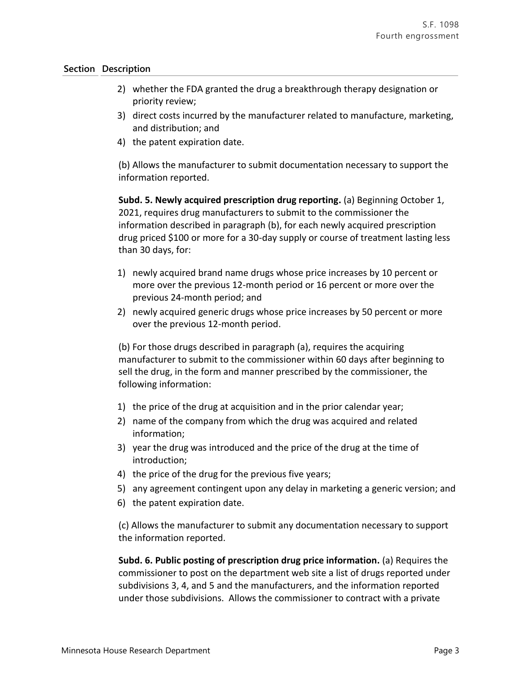- 2) whether the FDA granted the drug a breakthrough therapy designation or priority review;
- 3) direct costs incurred by the manufacturer related to manufacture, marketing, and distribution; and
- 4) the patent expiration date.

(b) Allows the manufacturer to submit documentation necessary to support the information reported.

**Subd. 5. Newly acquired prescription drug reporting.** (a) Beginning October 1, 2021, requires drug manufacturers to submit to the commissioner the information described in paragraph (b), for each newly acquired prescription drug priced \$100 or more for a 30-day supply or course of treatment lasting less than 30 days, for:

- 1) newly acquired brand name drugs whose price increases by 10 percent or more over the previous 12-month period or 16 percent or more over the previous 24-month period; and
- 2) newly acquired generic drugs whose price increases by 50 percent or more over the previous 12-month period.

(b) For those drugs described in paragraph (a), requires the acquiring manufacturer to submit to the commissioner within 60 days after beginning to sell the drug, in the form and manner prescribed by the commissioner, the following information:

- 1) the price of the drug at acquisition and in the prior calendar year;
- 2) name of the company from which the drug was acquired and related information;
- 3) year the drug was introduced and the price of the drug at the time of introduction;
- 4) the price of the drug for the previous five years;
- 5) any agreement contingent upon any delay in marketing a generic version; and
- 6) the patent expiration date.

(c) Allows the manufacturer to submit any documentation necessary to support the information reported.

**Subd. 6. Public posting of prescription drug price information.** (a) Requires the commissioner to post on the department web site a list of drugs reported under subdivisions 3, 4, and 5 and the manufacturers, and the information reported under those subdivisions. Allows the commissioner to contract with a private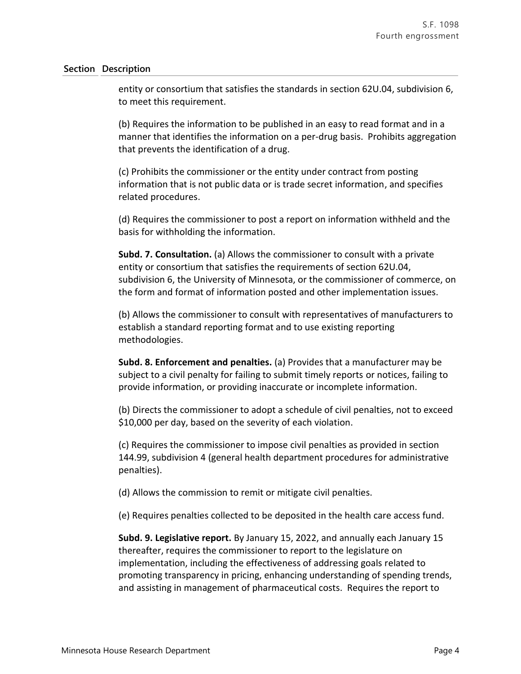entity or consortium that satisfies the standards in section 62U.04, subdivision 6, to meet this requirement.

(b) Requires the information to be published in an easy to read format and in a manner that identifies the information on a per-drug basis. Prohibits aggregation that prevents the identification of a drug.

(c) Prohibits the commissioner or the entity under contract from posting information that is not public data or is trade secret information, and specifies related procedures.

(d) Requires the commissioner to post a report on information withheld and the basis for withholding the information.

**Subd. 7. Consultation.** (a) Allows the commissioner to consult with a private entity or consortium that satisfies the requirements of section 62U.04, subdivision 6, the University of Minnesota, or the commissioner of commerce, on the form and format of information posted and other implementation issues.

(b) Allows the commissioner to consult with representatives of manufacturers to establish a standard reporting format and to use existing reporting methodologies.

**Subd. 8. Enforcement and penalties.** (a) Provides that a manufacturer may be subject to a civil penalty for failing to submit timely reports or notices, failing to provide information, or providing inaccurate or incomplete information.

(b) Directs the commissioner to adopt a schedule of civil penalties, not to exceed \$10,000 per day, based on the severity of each violation.

(c) Requires the commissioner to impose civil penalties as provided in section 144.99, subdivision 4 (general health department procedures for administrative penalties).

(d) Allows the commission to remit or mitigate civil penalties.

(e) Requires penalties collected to be deposited in the health care access fund.

**Subd. 9. Legislative report.** By January 15, 2022, and annually each January 15 thereafter, requires the commissioner to report to the legislature on implementation, including the effectiveness of addressing goals related to promoting transparency in pricing, enhancing understanding of spending trends, and assisting in management of pharmaceutical costs. Requires the report to